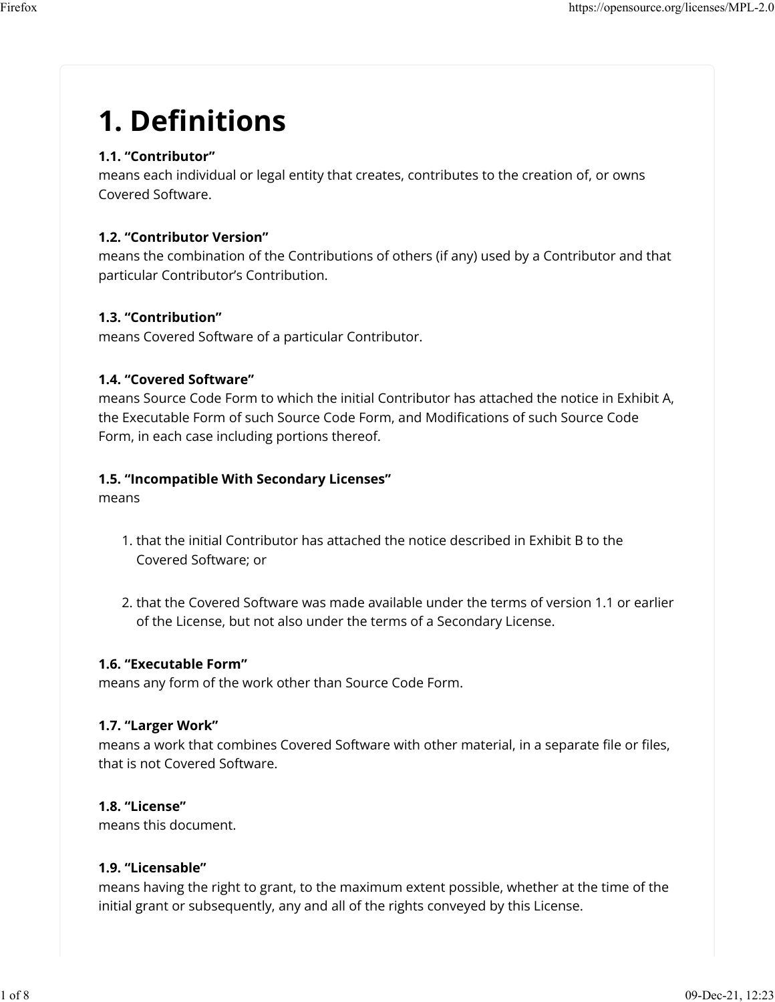# **1. De�nitions**

### **1.1. "Contributor"**

means each individual or legal entity that creates, contributes to the creation of, or owns Covered Software.

### **1.2. "Contributor Version"**

means the combination of the Contributions of others (if any) used by a Contributor and that particular Contributor's Contribution.

### **1.3. "Contribution"**

means Covered Software of a particular Contributor.

### **1.4. "Covered Software"**

means Source Code Form to which the initial Contributor has attached the notice in Exhibit A, the Executable Form of such Source Code Form, and Modifications of such Source Code Form, in each case including portions thereof.

### **1.5. "Incompatible With Secondary Licenses"**

means

- 1. that the initial Contributor has attached the notice described in Exhibit B to the Covered Software; or
- 2. that the Covered Software was made available under the terms of version 1.1 or earlier of the License, but not also under the terms of a Secondary License.

### **1.6. "Executable Form"**

means any form of the work other than Source Code Form.

### **1.7. "Larger Work"**

means a work that combines Covered Software with other material, in a separate file or files, that is not Covered Software.

### **1.8. "License"**

means this document.

### **1.9. "Licensable"**

means having the right to grant, to the maximum extent possible, whether at the time of the initial grant or subsequently, any and all of the rights conveyed by this License.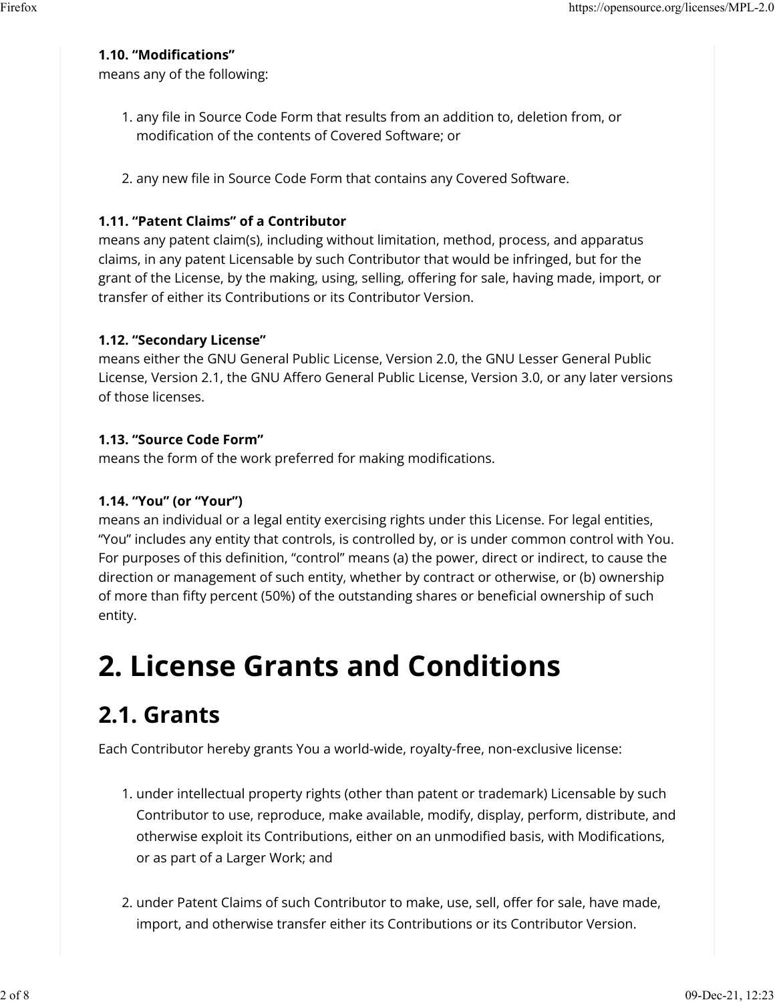### **1.10. "Modi�cations"**

means any of the following:

- 1. any �le in Source Code Form that results from an addition to, deletion from, or modification of the contents of Covered Software; or
- 2. any new file in Source Code Form that contains any Covered Software.

### **1.11. "Patent Claims" of a Contributor**

means any patent claim(s), including without limitation, method, process, and apparatus claims, in any patent Licensable by such Contributor that would be infringed, but for the grant of the License, by the making, using, selling, offering for sale, having made, import, or transfer of either its Contributions or its Contributor Version.

### **1.12. "Secondary License"**

means either the GNU General Public License, Version 2.0, the GNU Lesser General Public License, Version 2.1, the GNU Affero General Public License, Version 3.0, or any later versions of those licenses.

### **1.13. "Source Code Form"**

means the form of the work preferred for making modifications.

### **1.14. "You" (or "Your")**

means an individual or a legal entity exercising rights under this License. For legal entities, "You" includes any entity that controls, is controlled by, or is under common control with You. For purposes of this definition, "control" means (a) the power, direct or indirect, to cause the direction or management of such entity, whether by contract or otherwise, or (b) ownership of more than fifty percent (50%) of the outstanding shares or beneficial ownership of such entity.

# **2. License Grants and Conditions**

## **2.1. Grants**

Each Contributor hereby grants You a world-wide, royalty-free, non-exclusive license:

- 1. under intellectual property rights (other than patent or trademark) Licensable by such Contributor to use, reproduce, make available, modify, display, perform, distribute, and otherwise exploit its Contributions, either on an unmodified basis, with Modifications, or as part of a Larger Work; and
- 2. under Patent Claims of such Contributor to make, use, sell, offer for sale, have made, import, and otherwise transfer either its Contributions or its Contributor Version.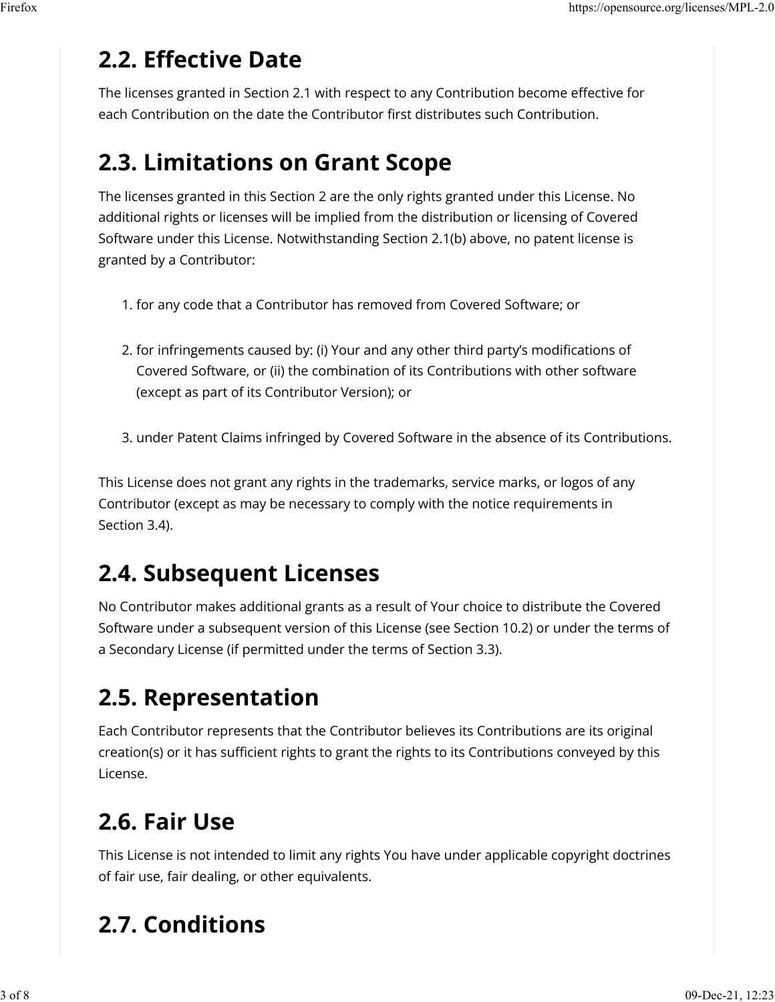## **2.2. E�ective Date**

The licenses granted in Section 2.1 with respect to any Contribution become effective for each Contribution on the date the Contributor first distributes such Contribution.

## **2.3. Limitations on Grant Scope**

The licenses granted in this Section 2 are the only rights granted under this License. No additional rights or licenses will be implied from the distribution or licensing of Covered Software under this License. Notwithstanding Section 2.1(b) above, no patent license is granted by a Contributor:

- 1. for any code that a Contributor has removed from Covered Software; or
- 2. for infringements caused by: (i) Your and any other third party's modifications of Covered Software, or (ii) the combination of its Contributions with other software (except as part of its Contributor Version); or
- 3. under Patent Claims infringed by Covered Software in the absence of its Contributions.

This License does not grant any rights in the trademarks, service marks, or logos of any Contributor (except as may be necessary to comply with the notice requirements in Section 3.4).

## **2.4. Subsequent Licenses**

No Contributor makes additional grants as a result of Your choice to distribute the Covered Software under a subsequent version of this License (see Section 10.2) or under the terms of a Secondary License (if permitted under the terms of Section 3.3).

## **2.5. Representation**

Each Contributor represents that the Contributor believes its Contributions are its original creation(s) or it has sufficient rights to grant the rights to its Contributions conveyed by this License.

## **2.6. Fair Use**

This License is not intended to limit any rights You have under applicable copyright doctrines of fair use, fair dealing, or other equivalents.

## **2.7. Conditions**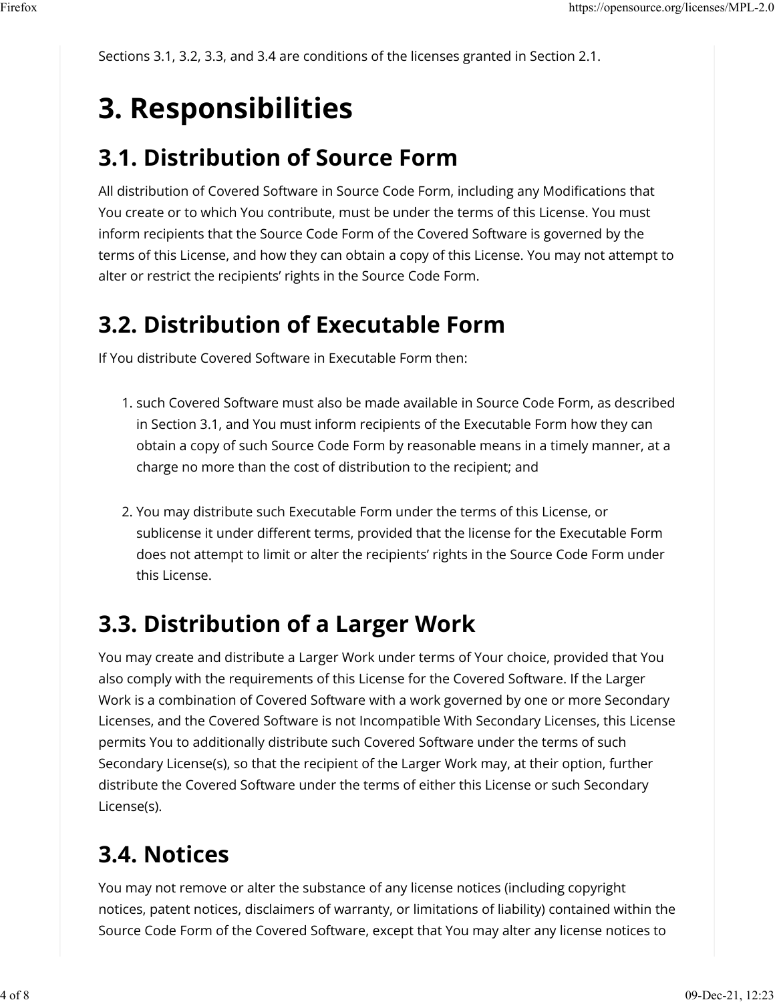Sections 3.1, 3.2, 3.3, and 3.4 are conditions of the licenses granted in Section 2.1.

# **3. Responsibilities**

## **3.1. Distribution of Source Form**

All distribution of Covered Software in Source Code Form, including any Modifications that You create or to which You contribute, must be under the terms of this License. You must inform recipients that the Source Code Form of the Covered Software is governed by the terms of this License, and how they can obtain a copy of this License. You may not attempt to alter or restrict the recipients' rights in the Source Code Form.

## **3.2. Distribution of Executable Form**

If You distribute Covered Software in Executable Form then:

- 1. such Covered Software must also be made available in Source Code Form, as described in Section 3.1, and You must inform recipients of the Executable Form how they can obtain a copy of such Source Code Form by reasonable means in a timely manner, at a charge no more than the cost of distribution to the recipient; and
- 2. You may distribute such Executable Form under the terms of this License, or sublicense it under different terms, provided that the license for the Executable Form does not attempt to limit or alter the recipients' rights in the Source Code Form under this License.

## **3.3. Distribution of a Larger Work**

You may create and distribute a Larger Work under terms of Your choice, provided that You also comply with the requirements of this License for the Covered Software. If the Larger Work is a combination of Covered Software with a work governed by one or more Secondary Licenses, and the Covered Software is not Incompatible With Secondary Licenses, this License permits You to additionally distribute such Covered Software under the terms of such Secondary License(s), so that the recipient of the Larger Work may, at their option, further distribute the Covered Software under the terms of either this License or such Secondary License(s).

## **3.4. Notices**

You may not remove or alter the substance of any license notices (including copyright notices, patent notices, disclaimers of warranty, or limitations of liability) contained within the Source Code Form of the Covered Software, except that You may alter any license notices to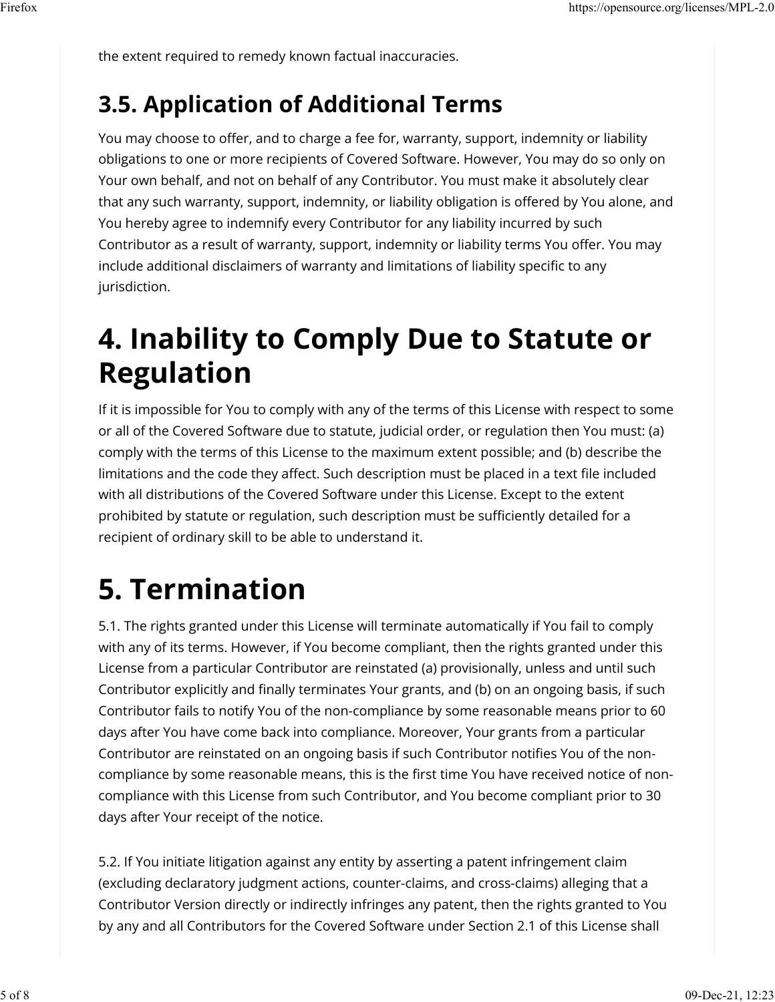the extent required to remedy known factual inaccuracies.

### **3.5. Application of Additional Terms**

You may choose to offer, and to charge a fee for, warranty, support, indemnity or liability obligations to one or more recipients of Covered Software. However, You may do so only on Your own behalf, and not on behalf of any Contributor. You must make it absolutely clear that any such warranty, support, indemnity, or liability obligation is offered by You alone, and You hereby agree to indemnify every Contributor for any liability incurred by such Contributor as a result of warranty, support, indemnity or liability terms You offer. You may include additional disclaimers of warranty and limitations of liability specific to any jurisdiction.

## **4. Inability to Comply Due to Statute or Regulation**

If it is impossible for You to comply with any of the terms of this License with respect to some or all of the Covered Software due to statute, judicial order, or regulation then You must: (a) comply with the terms of this License to the maximum extent possible; and (b) describe the limitations and the code they affect. Such description must be placed in a text file included with all distributions of the Covered Software under this License. Except to the extent prohibited by statute or regulation, such description must be sufficiently detailed for a recipient of ordinary skill to be able to understand it.

# **5. Termination**

5.1. The rights granted under this License will terminate automatically if You fail to comply with any of its terms. However, if You become compliant, then the rights granted under this License from a particular Contributor are reinstated (a) provisionally, unless and until such Contributor explicitly and finally terminates Your grants, and (b) on an ongoing basis, if such Contributor fails to notify You of the non-compliance by some reasonable means prior to 60 days after You have come back into compliance. Moreover, Your grants from a particular Contributor are reinstated on an ongoing basis if such Contributor notifies You of the noncompliance by some reasonable means, this is the first time You have received notice of noncompliance with this License from such Contributor, and You become compliant prior to 30 days after Your receipt of the notice.

5.2. If You initiate litigation against any entity by asserting a patent infringement claim (excluding declaratory judgment actions, counter-claims, and cross-claims) alleging that a Contributor Version directly or indirectly infringes any patent, then the rights granted to You by any and all Contributors for the Covered Software under Section 2.1 of this License shall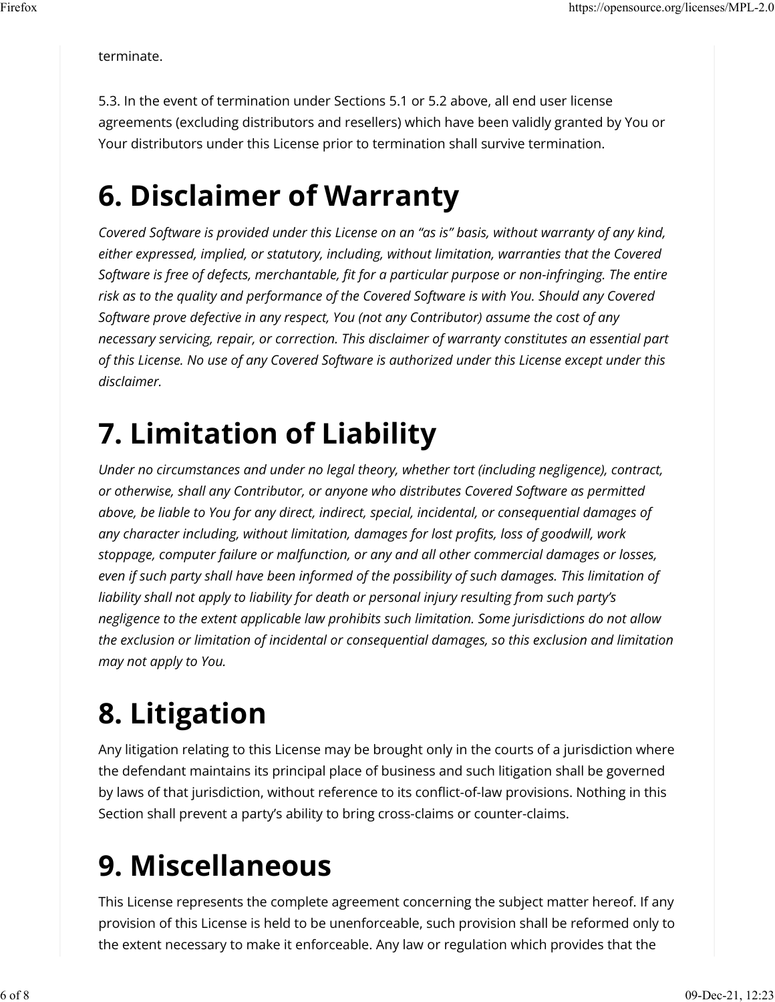terminate.

5.3. In the event of termination under Sections 5.1 or 5.2 above, all end user license agreements (excluding distributors and resellers) which have been validly granted by You or Your distributors under this License prior to termination shall survive termination.

## **6. Disclaimer of Warranty**

*Covered Software is provided under this License on an "as is" basis, without warranty of any kind, either expressed, implied, or statutory, including, without limitation, warranties that the Covered Software is free of defects, merchantable, �t for a particular purpose or non-infringing. The entire risk as to the quality and performance of the Covered Software is with You. Should any Covered Software prove defective in any respect, You (not any Contributor) assume the cost of any necessary servicing, repair, or correction. This disclaimer of warranty constitutes an essential part of this License. No use of any Covered Software is authorized under this License except under this disclaimer.*

# **7. Limitation of Liability**

*Under no circumstances and under no legal theory, whether tort (including negligence), contract, or otherwise, shall any Contributor, or anyone who distributes Covered Software as permitted above, be liable to You for any direct, indirect, special, incidental, or consequential damages of any character including, without limitation, damages for lost pro�ts, loss of goodwill, work stoppage, computer failure or malfunction, or any and all other commercial damages or losses, even if such party shall have been informed of the possibility of such damages. This limitation of liability shall not apply to liability for death or personal injury resulting from such party's negligence to the extent applicable law prohibits such limitation. Some jurisdictions do not allow the exclusion or limitation of incidental or consequential damages, so this exclusion and limitation may not apply to You.*

# **8. Litigation**

Any litigation relating to this License may be brought only in the courts of a jurisdiction where the defendant maintains its principal place of business and such litigation shall be governed by laws of that jurisdiction, without reference to its conflict-of-law provisions. Nothing in this Section shall prevent a party's ability to bring cross-claims or counter-claims.

# **9. Miscellaneous**

This License represents the complete agreement concerning the subject matter hereof. If any provision of this License is held to be unenforceable, such provision shall be reformed only to the extent necessary to make it enforceable. Any law or regulation which provides that the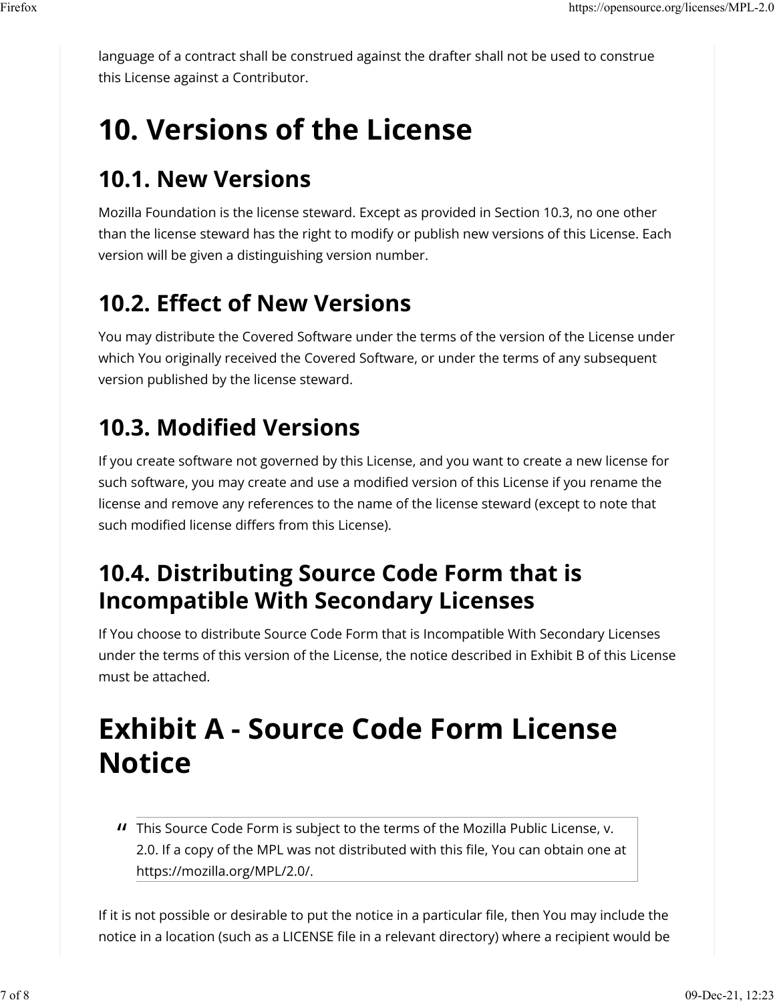language of a contract shall be construed against the drafter shall not be used to construe this License against a Contributor.

# **10. Versions of the License**

### **10.1. New Versions**

Mozilla Foundation is the license steward. Except as provided in Section 10.3, no one other than the license steward has the right to modify or publish new versions of this License. Each version will be given a distinguishing version number.

## **10.2. E�ect of New Versions**

You may distribute the Covered Software under the terms of the version of the License under which You originally received the Covered Software, or under the terms of any subsequent version published by the license steward.

## **10.3. Modified Versions**

If you create software not governed by this License, and you want to create a new license for such software, you may create and use a modified version of this License if you rename the license and remove any references to the name of the license steward (except to note that such modified license differs from this License).

### **10.4. Distributing Source Code Form that is Incompatible With Secondary Licenses**

If You choose to distribute Source Code Form that is Incompatible With Secondary Licenses under the terms of this version of the License, the notice described in Exhibit B of this License must be attached.

# **Exhibit A - Source Code Form License Notice**

*II* This Source Code Form is subject to the terms of the Mozilla Public License, v.<br>2.0 Jf a sopy of the MPL was not distributed with this file. You san obtain one. 2.0. If a copy of the MPL was not distributed with this file, You can obtain one at https://mozilla.org/MPL/2.0/.

If it is not possible or desirable to put the notice in a particular file, then You may include the notice in a location (such as a LICENSE file in a relevant directory) where a recipient would be